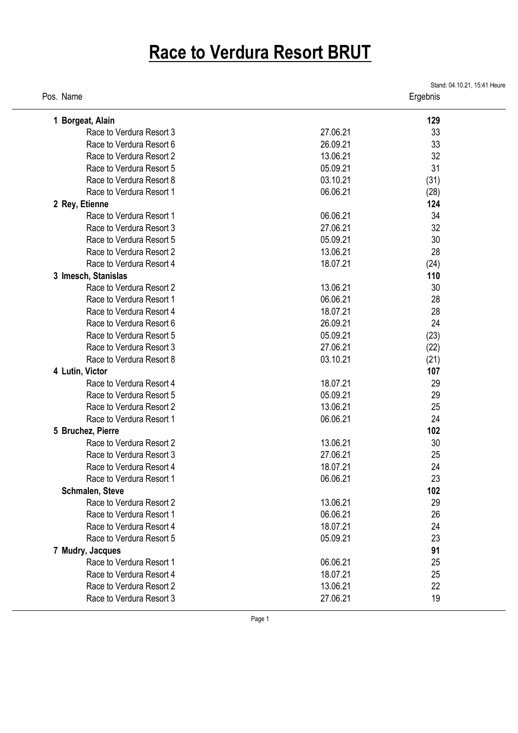## **Race to Verdura Resort BRUT**

| Pos. Name                |          | Stand: 04.10.21, 15:41 Heure<br>Ergebnis |  |
|--------------------------|----------|------------------------------------------|--|
| 1 Borgeat, Alain         |          | 129                                      |  |
| Race to Verdura Resort 3 | 27.06.21 | 33                                       |  |
| Race to Verdura Resort 6 | 26.09.21 | 33                                       |  |
| Race to Verdura Resort 2 | 13.06.21 | 32                                       |  |
| Race to Verdura Resort 5 | 05.09.21 | 31                                       |  |
| Race to Verdura Resort 8 | 03.10.21 | (31)                                     |  |
| Race to Verdura Resort 1 | 06.06.21 | (28)                                     |  |
| 2 Rey, Etienne           |          | 124                                      |  |
| Race to Verdura Resort 1 | 06.06.21 | 34                                       |  |
| Race to Verdura Resort 3 | 27.06.21 | 32                                       |  |
| Race to Verdura Resort 5 | 05.09.21 | 30                                       |  |
| Race to Verdura Resort 2 | 13.06.21 | 28                                       |  |
| Race to Verdura Resort 4 | 18.07.21 | (24)                                     |  |
| 3 Imesch, Stanislas      |          | 110                                      |  |
| Race to Verdura Resort 2 | 13.06.21 | 30                                       |  |
| Race to Verdura Resort 1 | 06.06.21 | 28                                       |  |
| Race to Verdura Resort 4 | 18.07.21 | 28                                       |  |
| Race to Verdura Resort 6 | 26.09.21 | 24                                       |  |
| Race to Verdura Resort 5 | 05.09.21 | (23)                                     |  |
| Race to Verdura Resort 3 | 27.06.21 | (22)                                     |  |
| Race to Verdura Resort 8 | 03.10.21 | (21)                                     |  |
| 4 Lutin, Victor          |          | 107                                      |  |
| Race to Verdura Resort 4 | 18.07.21 | 29                                       |  |
| Race to Verdura Resort 5 | 05.09.21 | 29                                       |  |
| Race to Verdura Resort 2 | 13.06.21 | 25                                       |  |
| Race to Verdura Resort 1 | 06.06.21 | 24                                       |  |
| 5 Bruchez, Pierre        |          | 102                                      |  |
| Race to Verdura Resort 2 | 13.06.21 | 30                                       |  |
| Race to Verdura Resort 3 | 27.06.21 | 25                                       |  |
| Race to Verdura Resort 4 | 18.07.21 | 24                                       |  |
| Race to Verdura Resort 1 | 06.06.21 | 23                                       |  |
| Schmalen, Steve          |          | 102                                      |  |
| Race to Verdura Resort 2 | 13.06.21 | 29                                       |  |
| Race to Verdura Resort 1 | 06.06.21 | 26                                       |  |
| Race to Verdura Resort 4 | 18.07.21 | 24                                       |  |
| Race to Verdura Resort 5 | 05.09.21 | 23                                       |  |
| 7 Mudry, Jacques         |          | 91                                       |  |
| Race to Verdura Resort 1 | 06.06.21 | 25                                       |  |
| Race to Verdura Resort 4 | 18.07.21 | 25                                       |  |
| Race to Verdura Resort 2 | 13.06.21 | 22                                       |  |
| Race to Verdura Resort 3 | 27.06.21 | 19                                       |  |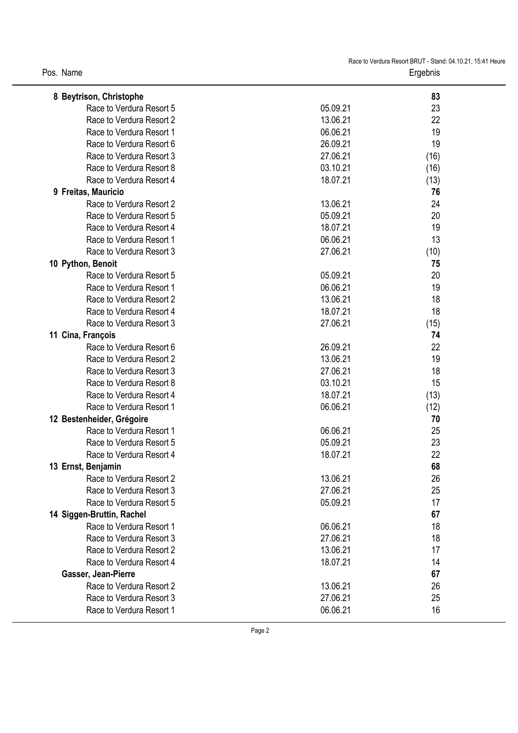| Pos. Name |  |
|-----------|--|
|-----------|--|

| 8 Beytrison, Christophe   |          | 83   |
|---------------------------|----------|------|
| Race to Verdura Resort 5  | 05.09.21 | 23   |
| Race to Verdura Resort 2  | 13.06.21 | 22   |
| Race to Verdura Resort 1  | 06.06.21 | 19   |
| Race to Verdura Resort 6  | 26.09.21 | 19   |
| Race to Verdura Resort 3  | 27.06.21 | (16) |
| Race to Verdura Resort 8  | 03.10.21 | (16) |
| Race to Verdura Resort 4  | 18.07.21 | (13) |
| 9 Freitas, Mauricio       |          | 76   |
| Race to Verdura Resort 2  | 13.06.21 | 24   |
| Race to Verdura Resort 5  | 05.09.21 | 20   |
| Race to Verdura Resort 4  | 18.07.21 | 19   |
| Race to Verdura Resort 1  | 06.06.21 | 13   |
| Race to Verdura Resort 3  | 27.06.21 | (10) |
| 10 Python, Benoit         |          | 75   |
| Race to Verdura Resort 5  | 05.09.21 | 20   |
| Race to Verdura Resort 1  | 06.06.21 | 19   |
| Race to Verdura Resort 2  | 13.06.21 | 18   |
| Race to Verdura Resort 4  | 18.07.21 | 18   |
| Race to Verdura Resort 3  | 27.06.21 | (15) |
| 11 Cina, François         |          | 74   |
| Race to Verdura Resort 6  | 26.09.21 | 22   |
| Race to Verdura Resort 2  | 13.06.21 | 19   |
| Race to Verdura Resort 3  | 27.06.21 | 18   |
| Race to Verdura Resort 8  | 03.10.21 | 15   |
| Race to Verdura Resort 4  | 18.07.21 | (13) |
| Race to Verdura Resort 1  | 06.06.21 | (12) |
| 12 Bestenheider, Grégoire |          | 70   |
| Race to Verdura Resort 1  | 06.06.21 | 25   |
| Race to Verdura Resort 5  | 05.09.21 | 23   |
| Race to Verdura Resort 4  | 18.07.21 | 22   |
| 13 Ernst, Benjamin        |          | 68   |
| Race to Verdura Resort 2  | 13.06.21 | 26   |
| Race to Verdura Resort 3  | 27.06.21 | 25   |
| Race to Verdura Resort 5  | 05.09.21 | 17   |
| 14 Siggen-Bruttin, Rachel |          | 67   |
| Race to Verdura Resort 1  | 06.06.21 | 18   |
| Race to Verdura Resort 3  | 27.06.21 | 18   |
| Race to Verdura Resort 2  | 13.06.21 | 17   |
| Race to Verdura Resort 4  | 18.07.21 | 14   |
| Gasser, Jean-Pierre       |          | 67   |
| Race to Verdura Resort 2  | 13.06.21 | 26   |
| Race to Verdura Resort 3  | 27.06.21 | 25   |
| Race to Verdura Resort 1  | 06.06.21 | 16   |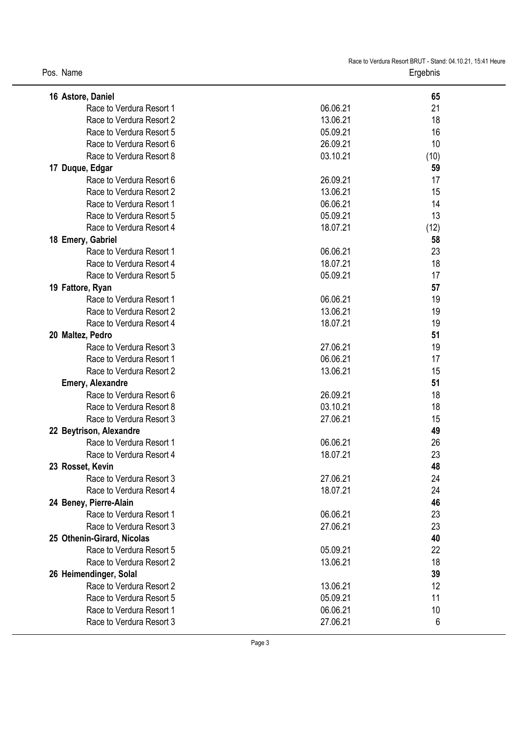| Pos. Name |  |
|-----------|--|
|-----------|--|

| 16 Astore, Daniel          |          | 65   |
|----------------------------|----------|------|
| Race to Verdura Resort 1   | 06.06.21 | 21   |
| Race to Verdura Resort 2   | 13.06.21 | 18   |
| Race to Verdura Resort 5   | 05.09.21 | 16   |
| Race to Verdura Resort 6   | 26.09.21 | 10   |
| Race to Verdura Resort 8   | 03.10.21 | (10) |
| 17 Duque, Edgar            |          | 59   |
| Race to Verdura Resort 6   | 26.09.21 | 17   |
| Race to Verdura Resort 2   | 13.06.21 | 15   |
| Race to Verdura Resort 1   | 06.06.21 | 14   |
| Race to Verdura Resort 5   | 05.09.21 | 13   |
| Race to Verdura Resort 4   | 18.07.21 | (12) |
| 18 Emery, Gabriel          |          | 58   |
| Race to Verdura Resort 1   | 06.06.21 | 23   |
| Race to Verdura Resort 4   | 18.07.21 | 18   |
| Race to Verdura Resort 5   | 05.09.21 | 17   |
| 19 Fattore, Ryan           |          | 57   |
| Race to Verdura Resort 1   | 06.06.21 | 19   |
| Race to Verdura Resort 2   | 13.06.21 | 19   |
| Race to Verdura Resort 4   | 18.07.21 | 19   |
| 20 Maltez, Pedro           |          | 51   |
| Race to Verdura Resort 3   | 27.06.21 | 19   |
| Race to Verdura Resort 1   | 06.06.21 | 17   |
| Race to Verdura Resort 2   | 13.06.21 | 15   |
| <b>Emery, Alexandre</b>    |          | 51   |
| Race to Verdura Resort 6   | 26.09.21 | 18   |
| Race to Verdura Resort 8   | 03.10.21 | 18   |
| Race to Verdura Resort 3   | 27.06.21 | 15   |
| 22 Beytrison, Alexandre    |          | 49   |
| Race to Verdura Resort 1   | 06.06.21 | 26   |
| Race to Verdura Resort 4   | 18.07.21 | 23   |
| 23 Rosset, Kevin           |          | 48   |
| Race to Verdura Resort 3   | 27.06.21 | 24   |
| Race to Verdura Resort 4   | 18.07.21 | 24   |
| 24 Beney, Pierre-Alain     |          | 46   |
| Race to Verdura Resort 1   | 06.06.21 | 23   |
| Race to Verdura Resort 3   | 27.06.21 | 23   |
| 25 Othenin-Girard, Nicolas |          | 40   |
| Race to Verdura Resort 5   | 05.09.21 | 22   |
| Race to Verdura Resort 2   | 13.06.21 | 18   |
| 26 Heimendinger, Solal     |          | 39   |
| Race to Verdura Resort 2   | 13.06.21 | 12   |
| Race to Verdura Resort 5   | 05.09.21 | 11   |
| Race to Verdura Resort 1   | 06.06.21 | 10   |
| Race to Verdura Resort 3   | 27.06.21 | 6    |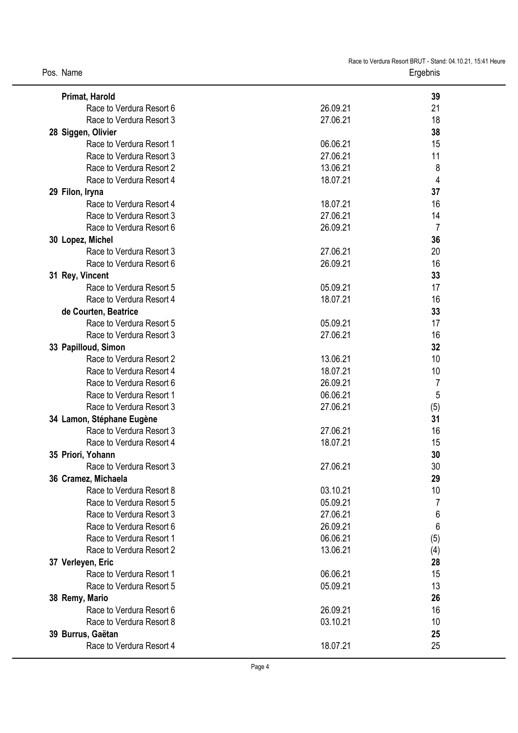| Primat, Harold            |          | 39  |
|---------------------------|----------|-----|
| Race to Verdura Resort 6  | 26.09.21 | 21  |
| Race to Verdura Resort 3  | 27.06.21 | 18  |
| 28 Siggen, Olivier        |          | 38  |
| Race to Verdura Resort 1  | 06.06.21 | 15  |
| Race to Verdura Resort 3  | 27.06.21 | 11  |
| Race to Verdura Resort 2  | 13.06.21 | 8   |
| Race to Verdura Resort 4  | 18.07.21 | 4   |
| 29 Filon, Iryna           |          | 37  |
| Race to Verdura Resort 4  | 18.07.21 | 16  |
| Race to Verdura Resort 3  | 27.06.21 | 14  |
| Race to Verdura Resort 6  | 26.09.21 | 7   |
| 30 Lopez, Michel          |          | 36  |
| Race to Verdura Resort 3  | 27.06.21 | 20  |
| Race to Verdura Resort 6  | 26.09.21 | 16  |
| 31 Rey, Vincent           |          | 33  |
| Race to Verdura Resort 5  | 05.09.21 | 17  |
| Race to Verdura Resort 4  | 18.07.21 | 16  |
| de Courten, Beatrice      |          | 33  |
| Race to Verdura Resort 5  | 05.09.21 | 17  |
| Race to Verdura Resort 3  | 27.06.21 | 16  |
| 33 Papilloud, Simon       |          | 32  |
| Race to Verdura Resort 2  | 13.06.21 | 10  |
| Race to Verdura Resort 4  | 18.07.21 | 10  |
| Race to Verdura Resort 6  | 26.09.21 | 7   |
| Race to Verdura Resort 1  | 06.06.21 | 5   |
| Race to Verdura Resort 3  | 27.06.21 | (5) |
| 34 Lamon, Stéphane Eugène |          | 31  |
| Race to Verdura Resort 3  | 27.06.21 | 16  |
| Race to Verdura Resort 4  | 18.07.21 | 15  |
| 35 Priori, Yohann         |          | 30  |
| Race to Verdura Resort 3  | 27.06.21 | 30  |
| 36 Cramez, Michaela       |          | 29  |
| Race to Verdura Resort 8  | 03.10.21 | 10  |
| Race to Verdura Resort 5  | 05.09.21 | 7   |
| Race to Verdura Resort 3  | 27.06.21 | 6   |
| Race to Verdura Resort 6  | 26.09.21 | 6   |
| Race to Verdura Resort 1  | 06.06.21 | (5) |
| Race to Verdura Resort 2  | 13.06.21 | (4) |
| 37 Verleyen, Eric         |          | 28  |
| Race to Verdura Resort 1  | 06.06.21 | 15  |
| Race to Verdura Resort 5  | 05.09.21 | 13  |
| 38 Remy, Mario            |          | 26  |
| Race to Verdura Resort 6  | 26.09.21 | 16  |
| Race to Verdura Resort 8  | 03.10.21 | 10  |
| 39 Burrus, Gaëtan         |          | 25  |
| Race to Verdura Resort 4  | 18.07.21 | 25  |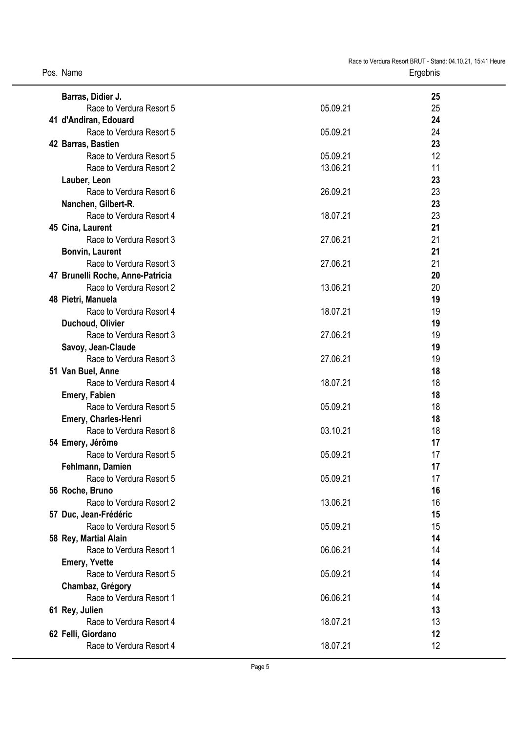| Barras, Didier J.                                            |          | 25       |
|--------------------------------------------------------------|----------|----------|
| Race to Verdura Resort 5                                     | 05.09.21 | 25       |
| 41 d'Andiran, Edouard                                        |          | 24       |
| Race to Verdura Resort 5                                     | 05.09.21 | 24       |
| 42 Barras, Bastien                                           |          | 23       |
| Race to Verdura Resort 5                                     | 05.09.21 | 12       |
| Race to Verdura Resort 2                                     | 13.06.21 | 11       |
| Lauber, Leon                                                 |          | 23       |
| Race to Verdura Resort 6                                     | 26.09.21 | 23       |
| Nanchen, Gilbert-R.                                          |          | 23       |
| Race to Verdura Resort 4                                     | 18.07.21 | 23       |
| 45 Cina, Laurent                                             |          | 21       |
| Race to Verdura Resort 3                                     | 27.06.21 | 21       |
| <b>Bonvin, Laurent</b><br>Race to Verdura Resort 3           |          | 21       |
|                                                              | 27.06.21 | 21       |
| 47 Brunelli Roche, Anne-Patricia<br>Race to Verdura Resort 2 | 13.06.21 | 20<br>20 |
| 48 Pietri, Manuela                                           |          | 19       |
| Race to Verdura Resort 4                                     | 18.07.21 | 19       |
| Duchoud, Olivier                                             |          | 19       |
| Race to Verdura Resort 3                                     | 27.06.21 | 19       |
| Savoy, Jean-Claude                                           |          | 19       |
| Race to Verdura Resort 3                                     | 27.06.21 | 19       |
| 51 Van Buel, Anne                                            |          | 18       |
| Race to Verdura Resort 4                                     | 18.07.21 | 18       |
| <b>Emery, Fabien</b>                                         |          | 18       |
| Race to Verdura Resort 5                                     | 05.09.21 | 18       |
| Emery, Charles-Henri                                         |          | 18       |
| Race to Verdura Resort 8                                     | 03.10.21 | 18       |
| 54 Emery, Jérôme                                             |          | 17       |
| Race to Verdura Resort 5                                     | 05.09.21 | 17       |
| Fehlmann, Damien                                             |          | 17       |
| Race to Verdura Resort 5                                     | 05.09.21 | 17       |
| 56 Roche, Bruno                                              |          | 16       |
| Race to Verdura Resort 2                                     | 13.06.21 | 16       |
| 57 Duc, Jean-Frédéric                                        |          | 15       |
| Race to Verdura Resort 5                                     | 05.09.21 | 15       |
| 58 Rey, Martial Alain<br>Race to Verdura Resort 1            | 06.06.21 | 14       |
|                                                              |          | 14<br>14 |
| <b>Emery, Yvette</b><br>Race to Verdura Resort 5             | 05.09.21 | 14       |
| Chambaz, Grégory                                             |          | 14       |
| Race to Verdura Resort 1                                     | 06.06.21 | 14       |
| 61 Rey, Julien                                               |          | 13       |
| Race to Verdura Resort 4                                     | 18.07.21 | 13       |
| 62 Felli, Giordano                                           |          | 12       |
| Race to Verdura Resort 4                                     | 18.07.21 | 12       |
|                                                              |          |          |